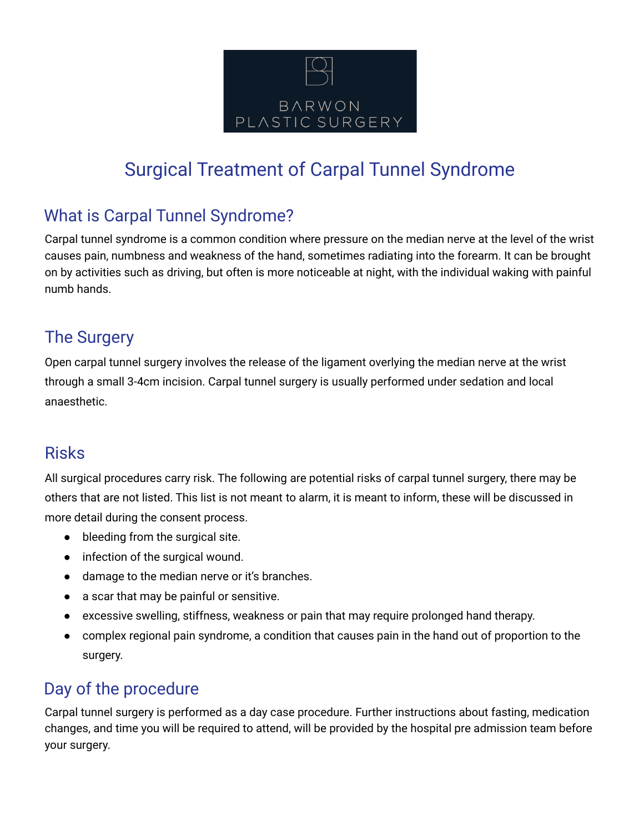

# Surgical Treatment of Carpal Tunnel Syndrome

## What is Carpal Tunnel Syndrome?

Carpal tunnel syndrome is a common condition where pressure on the median nerve at the level of the wrist causes pain, numbness and weakness of the hand, sometimes radiating into the forearm. It can be brought on by activities such as driving, but often is more noticeable at night, with the individual waking with painful numb hands.

#### The Surgery

Open carpal tunnel surgery involves the release of the ligament overlying the median nerve at the wrist through a small 3-4cm incision. Carpal tunnel surgery is usually performed under sedation and local anaesthetic.

### Risks

All surgical procedures carry risk. The following are potential risks of carpal tunnel surgery, there may be others that are not listed. This list is not meant to alarm, it is meant to inform, these will be discussed in more detail during the consent process.

- bleeding from the surgical site.
- infection of the surgical wound.
- damage to the median nerve or it's branches.
- a scar that may be painful or sensitive.
- excessive swelling, stiffness, weakness or pain that may require prolonged hand therapy.
- complex regional pain syndrome, a condition that causes pain in the hand out of proportion to the surgery.

### Day of the procedure

Carpal tunnel surgery is performed as a day case procedure. Further instructions about fasting, medication changes, and time you will be required to attend, will be provided by the hospital pre admission team before your surgery.